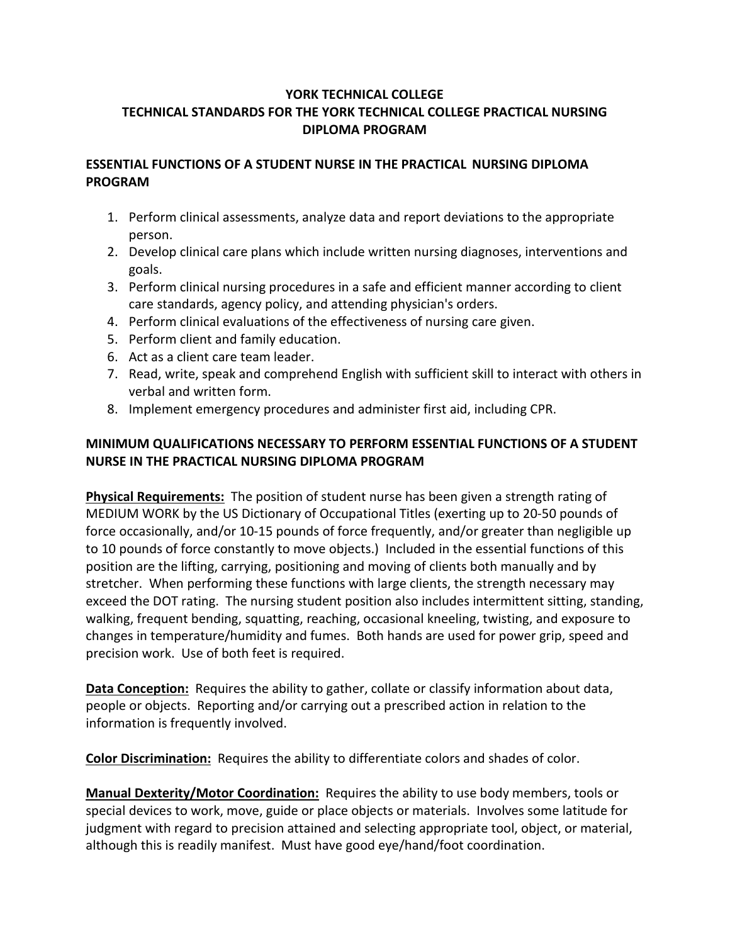## **YORK TECHNICAL COLLEGE TECHNICAL STANDARDS FOR THE YORK TECHNICAL COLLEGE PRACTICAL NURSING DIPLOMA PROGRAM**

## **ESSENTIAL FUNCTIONS OF A STUDENT NURSE IN THE PRACTICAL NURSING DIPLOMA PROGRAM**

- 1. Perform clinical assessments, analyze data and report deviations to the appropriate person.
- 2. Develop clinical care plans which include written nursing diagnoses, interventions and goals.
- 3. Perform clinical nursing procedures in a safe and efficient manner according to client care standards, agency policy, and attending physician's orders.
- 4. Perform clinical evaluations of the effectiveness of nursing care given.
- 5. Perform client and family education.
- 6. Act as a client care team leader.
- 7. Read, write, speak and comprehend English with sufficient skill to interact with others in verbal and written form.
- 8. Implement emergency procedures and administer first aid, including CPR.

## **MINIMUM QUALIFICATIONS NECESSARY TO PERFORM ESSENTIAL FUNCTIONS OF A STUDENT NURSE IN THE PRACTICAL NURSING DIPLOMA PROGRAM**

**Physical Requirements:** The position of student nurse has been given a strength rating of MEDIUM WORK by the US Dictionary of Occupational Titles (exerting up to 20-50 pounds of force occasionally, and/or 10-15 pounds of force frequently, and/or greater than negligible up to 10 pounds of force constantly to move objects.) Included in the essential functions of this position are the lifting, carrying, positioning and moving of clients both manually and by stretcher. When performing these functions with large clients, the strength necessary may exceed the DOT rating. The nursing student position also includes intermittent sitting, standing, walking, frequent bending, squatting, reaching, occasional kneeling, twisting, and exposure to changes in temperature/humidity and fumes. Both hands are used for power grip, speed and precision work. Use of both feet is required.

**Data Conception:** Requires the ability to gather, collate or classify information about data, people or objects. Reporting and/or carrying out a prescribed action in relation to the information is frequently involved.

**Color Discrimination:** Requires the ability to differentiate colors and shades of color.

**Manual Dexterity/Motor Coordination:** Requires the ability to use body members, tools or special devices to work, move, guide or place objects or materials. Involves some latitude for judgment with regard to precision attained and selecting appropriate tool, object, or material, although this is readily manifest. Must have good eye/hand/foot coordination.